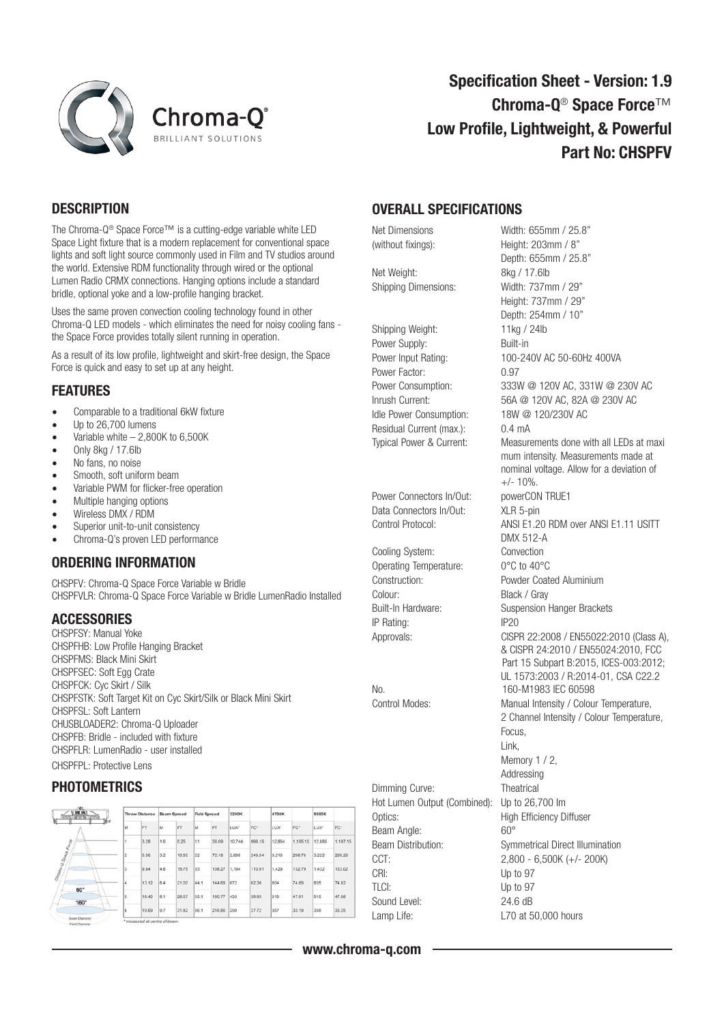



# Specification Sheet - Version: 1.9 Chroma-Q® Space Force™ Low Profile, Lightweight, & Powerful Part No: CHSPFV

## **DESCRIPTION**

The Chroma-Q® Space Force™ is a cutting-edge variable white LED Space Light fixture that is a modern replacement for conventional space lights and soft light source commonly used in Film and TV studios around the world. Extensive RDM functionality through wired or the optional Lumen Radio CRMX connections. Hanging options include a standard bridle, optional yoke and a low-profile hanging bracket.

Uses the same proven convection cooling technology found in other Chroma-Q LED models - which eliminates the need for noisy cooling fans the Space Force provides totally silent running in operation.

As a result of its low profile, lightweight and skirt-free design, the Space Force is quick and easy to set up at any height.

### FEATURES

- Comparable to a traditional 6kW fixture
- Up to 26,700 lumens
- Variable white  $-2,800K$  to 6,500K
- Only 8kg / 17.6lb
- No fans, no noise
- Smooth, soft uniform beam
- Variable PWM for flicker-free operation
- Multiple hanging options
- Wireless DMX / RDM
- Superior unit-to-unit consistency
- Chroma-Q's proven LED performance

#### ORDERING INFORMATION

CHSPFV: Chroma-Q Space Force Variable w Bridle CHSPFVLR: Chroma-Q Space Force Variable w Bridle LumenRadio Installed

## **ACCESSORIES**

CHSPFSY: Manual Yoke CHSPFHB: Low Profile Hanging Bracket CHSPFMS: Black Mini Skirt CHSPFSEC: Soft Egg Crate CHSPFCK: Cyc Skirt / Silk CHSPFSTK: Soft Target Kit on Cyc Skirt/Silk or Black Mini Skirt CHSPFSL: Soft Lantern CHUSBLOADER2: Chroma-Q Uploader CHSPFB: Bridle - included with fixture CHSPFLR: LumenRadio - user installed CHSPFPL: Protective Lens

#### **PHOTOMETRICS**

| Dat us  <br>show of an in language<br>60 | Throw Distance |     | Beam Spread |                     | <b>Field Spread</b> |            | 3200K  |            | 4700K    |                  | 5600K    |  |
|------------------------------------------|----------------|-----|-------------|---------------------|---------------------|------------|--------|------------|----------|------------------|----------|--|
| M                                        | FT             | lм  | FT          | M                   | FT                  | <b>LUX</b> | FC*    | <b>LUX</b> | FC*      | LUX <sup>*</sup> | FC*      |  |
|                                          | 3.28           | 1.6 | 5.25        | 11                  | 36.09               | 10,744     | 998.15 | 12,864     | 1,195.10 | 12,886           | 1,197.15 |  |
| Chama-O Space Karee<br>$\overline{2}$    | 6.56           | 3.2 | 10.50       | 22                  | 72.18               | 2,686      | 249.54 | 3,216      | 298.78   | 3.222            | 299.29   |  |
| 3                                        | 9.84           | 4.8 | 15.75       | 33                  | 108.27              | 1,194      | 110.91 | 1,429      | 132.79   | 1,432            | 133.02   |  |
| ١4<br>60°                                | 13.12          | 6.4 | 21.00       | 44.1                | 144.69              | 672        | 62.38  | 804        | 74.69    | 805              | 74.82    |  |
| 5<br>160°<br>$\sim$                      | 16.40          | 8.1 | 26.57       | 55.1                | 180.77              | 430        | 39.93  | 515        | 47.81    | 515              | 47.88    |  |
| B.                                       | 19.69          | 9.7 | 31.82       | <b>Side</b><br>66.1 | 216.86              | 298        | 27.72  | 357        | 33.19    | 358              | 33.25    |  |

## OVERALL SPECIFICATIONS

Net Weight: 8kg / 17.6lb Shipping Dimensions: Width: 737mm / 29"

Shipping Weight: 11kg / 24lb Power Supply: Built-in Power Factor: 0.97 Idle Power Consumption: 18W @ 120/230V AC Residual Current (max.): 0.4 mA

Power Connectors In/Out: powerCON TRUE1 Data Connectors In/Out: XLR 5-pin

Cooling System: Convection Operating Temperature: 0°C to 40°C Colour: Black / Gray IP Rating: IP20

Dimming Curve: Theatrical Hot Lumen Output (Combined): Up to 26,700 lm Optics: High Efficiency Diffuser Beam Angle: 60° Beam Distribution: Symmetrical Direct Illumination CCT: 2,800 - 6,500K (+/- 200K) CRI: Up to 97 TLCI: Up to 97 Sound Level: 24.6 dB

Net Dimensions Width: 655mm / 25.8" (without fixings): Height: 203mm / 8" Depth: 655mm / 25.8" Height: 737mm / 29" Depth: 254mm / 10" Power Input Rating: 100-240V AC 50-60Hz 400VA Power Consumption: 333W @ 120V AC, 331W @ 230V AC Inrush Current: 56A @ 120V AC, 82A @ 230V AC Typical Power & Current: Measurements done with all LEDs at maxi mum intensity. Measurements made at nominal voltage. Allow for a deviation of  $+/- 10%$ Control Protocol: ANSI E1.20 RDM over ANSI E1.11 USITT DMX 512-A Construction: Powder Coated Aluminium Built-In Hardware: Suspension Hanger Brackets Approvals: CISPR 22:2008 / EN55022:2010 (Class A), & CISPR 24:2010 / EN55024:2010, FCC Part 15 Subpart B:2015, ICES-003:2012; UL 1573:2003 / R:2014-01, CSA C22.2 No. 160-M1983 IEC 60598 Control Modes: Manual Intensity / Colour Temperature, 2 Channel Intensity / Colour Temperature, Focus, Link, Memory 1 / 2, Addressing Lamp Life: L70 at 50,000 hours

www.chroma-q.com